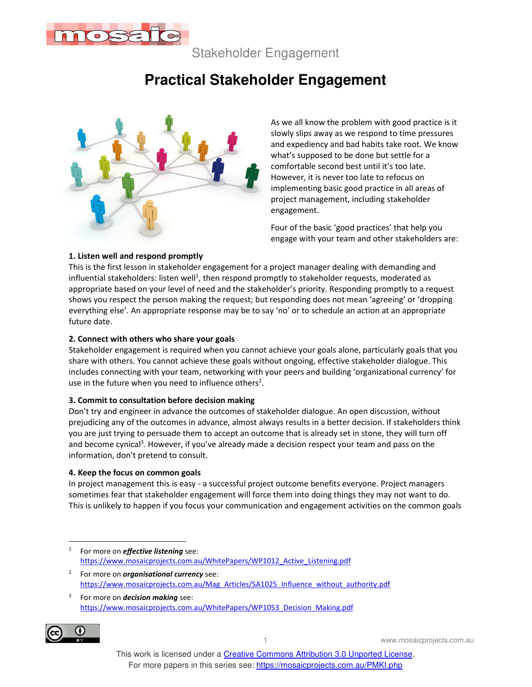

Stakeholder Engagement

# **Practical Stakeholder Engagement**



As we all know the problem with good practice is it slowly slips away as we respond to time pressures and expediency and bad habits take root. We know what's supposed to be done but settle for a comfortable second best until it's too late. However, it is never too late to refocus on implementing basic good practice in all areas of project management, including stakeholder engagement.

Four of the basic 'good practices' that help you engage with your team and other stakeholders are:

### **1. Listen well and respond promptly**

This is the first lesson in stakeholder engagement for a project manager dealing with demanding and influential stakeholders: listen well<sup>1</sup>, then respond promptly to stakeholder requests, moderated as appropriate based on your level of need and the stakeholder's priority. Responding promptly to a request shows you respect the person making the request; but responding does not mean 'agreeing' or 'dropping everything else'. An appropriate response may be to say 'no' or to schedule an action at an appropriate future date.

#### **2. Connect with others who share your goals**

Stakeholder engagement is required when you cannot achieve your goals alone, particularly goals that you share with others. You cannot achieve these goals without ongoing, effective stakeholder dialogue. This includes connecting with your team, networking with your peers and building 'organizational currency' for use in the future when you need to influence others<sup>2</sup>.

#### **3. Commit to consultation before decision making**

Don't try and engineer in advance the outcomes of stakeholder dialogue. An open discussion, without prejudicing any of the outcomes in advance, almost always results in a better decision. If stakeholders think you are just trying to persuade them to accept an outcome that is already set in stone, they will turn off and become cynical<sup>3</sup>. However, if you've already made a decision respect your team and pass on the information, don't pretend to consult.

#### **4. Keep the focus on common goals**

In project management this is easy - a successful project outcome benefits everyone. Project managers sometimes fear that stakeholder engagement will force them into doing things they may not want to do. This is unlikely to happen if you focus your communication and engagement activities on the common goals

<sup>3</sup> For more on *decision making* see: https://www.mosaicprojects.com.au/WhitePapers/WP1053\_Decision\_Making.pdf



1 www.mosaicprojects.com.au

<sup>1</sup> For more on *effective listening* see: https://www.mosaicprojects.com.au/WhitePapers/WP1012\_Active\_Listening.pdf

<sup>2</sup> For more on *organisational currency* see: https://www.mosaicprojects.com.au/Mag\_Articles/SA1025\_Influence\_without\_authority.pdf